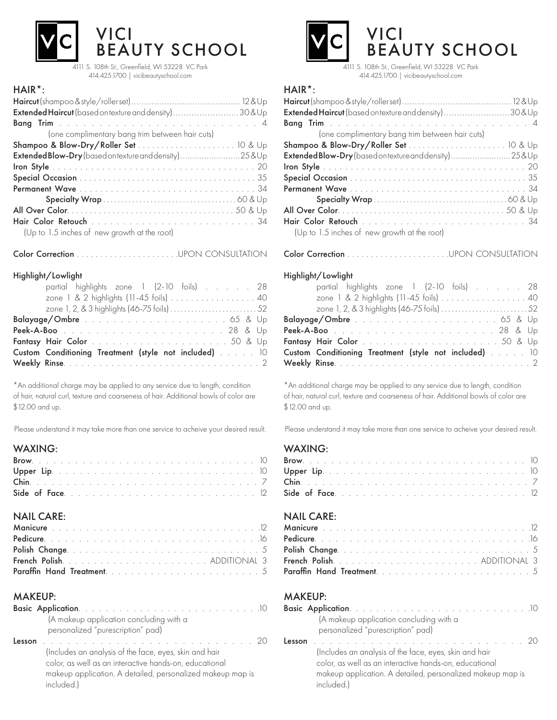

4111 S. 108th St., Greenfield, WI 53228 VC Park 414.425.1700 | vicibeautyschool.com

# HAIR\*:

| Extended Haircut (based on texture and density) 30&Up |
|-------------------------------------------------------|
|                                                       |
| (one complimentary bang trim between hair cuts)       |
|                                                       |
| Extended Blow-Dry (based on texture and density)25&Up |
|                                                       |
|                                                       |
|                                                       |
|                                                       |
|                                                       |
|                                                       |
| (Up to 1.5 inches of new growth at the root)          |

Color Correction . . . . . . . . . . . . . . . . . . . . . .UPON CONSULTATION

#### Highlight/Lowlight

| partial highlights zone 1 (2-10 foils) 28             |  |
|-------------------------------------------------------|--|
| zone 1 & 2 highlights (11-45 foils)  40               |  |
|                                                       |  |
|                                                       |  |
|                                                       |  |
|                                                       |  |
| Custom Conditioning Treatment (style not included) 10 |  |
|                                                       |  |

\*An additional charge may be applied to any service due to length, condition of hair, natural curl, texture and coarseness of hair. Additional bowls of color are \$12.00 and up.

Please understand it may take more than one service to acheive your desired result.

## WAXING:

# NAIL CARE:

# MAKEUP:

|        | (A makeup application concluding with a                                                                                                                                                                                                                                                           |  |
|--------|---------------------------------------------------------------------------------------------------------------------------------------------------------------------------------------------------------------------------------------------------------------------------------------------------|--|
|        | personalized "purescription" pad)                                                                                                                                                                                                                                                                 |  |
| Lesson | de la participat de la participat de la participat de la participat de la participat de la participat de la par<br>(Includes an analysis of the face, eyes, skin and hair<br>color, as well as an interactive hands-on, educational<br>makeup application. A detailed, personalized makeup map is |  |
|        | included.)                                                                                                                                                                                                                                                                                        |  |



414.425.1700 | vicibeautyschool.com

# HAIR\*:

| Extended Haircut (based on texture and density) 30&Up |  |
|-------------------------------------------------------|--|
|                                                       |  |
| (one complimentary bang trim between hair cuts)       |  |
|                                                       |  |
| Extended Blow-Dry (based ontexture and density)25&Up  |  |
|                                                       |  |
|                                                       |  |
|                                                       |  |
|                                                       |  |
|                                                       |  |
|                                                       |  |
| (Up to 1.5 inches of new growth at the root)          |  |

Color Correction . . . . . . . . . . . . . . . . . . . . . .UPON CONSULTATION

#### Highlight/Lowlight

| partial highlights zone 1 (2-10 foils) 28             |  |
|-------------------------------------------------------|--|
| zone 1 & 2 highlights (11-45 foils)  40               |  |
|                                                       |  |
|                                                       |  |
|                                                       |  |
|                                                       |  |
| Custom Conditioning Treatment (style not included) 10 |  |
|                                                       |  |
|                                                       |  |

\*An additional charge may be applied to any service due to length, condition of hair, natural curl, texture and coarseness of hair. Additional bowls of color are \$12.00 and up.

Please understand it may take more than one service to acheive your desired result.

### WAXING:

# NAIL CARE:

### MAKEUP:

|        | (A makeup application concluding with a                    |  |
|--------|------------------------------------------------------------|--|
|        | personalized "purescription" pad)                          |  |
| Lesson |                                                            |  |
|        | (Includes an analysis of the face, eyes, skin and hair     |  |
|        | color, as well as an interactive hands-on, educational     |  |
|        | makeup application. A detailed, personalized makeup map is |  |
|        | included.)                                                 |  |
|        |                                                            |  |